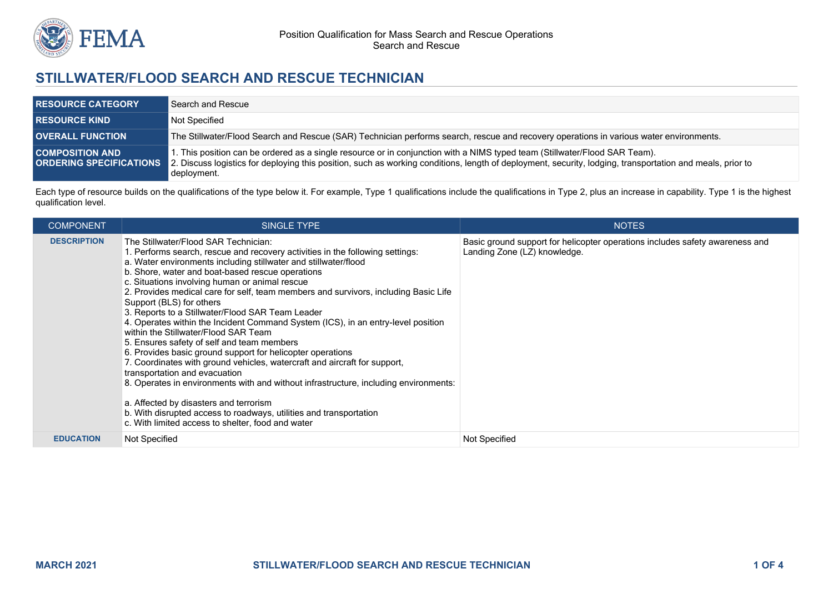

## **STILLWATER/FLOOD SEARCH AND RESCUE TECHNICIAN**

| <b>RESOURCE CATEGORY</b>                                 | Search and Rescue                                                                                                                                                                                                                                                                                      |
|----------------------------------------------------------|--------------------------------------------------------------------------------------------------------------------------------------------------------------------------------------------------------------------------------------------------------------------------------------------------------|
| <b>RESOURCE KIND</b>                                     | Not Specified                                                                                                                                                                                                                                                                                          |
| <b>OVERALL FUNCTION</b>                                  | The Stillwater/Flood Search and Rescue (SAR) Technician performs search, rescue and recovery operations in various water environments.                                                                                                                                                                 |
| <b>COMPOSITION AND</b><br><b>ORDERING SPECIFICATIONS</b> | I. This position can be ordered as a single resource or in conjunction with a NIMS typed team (Stillwater/Flood SAR Team).<br>2. Discuss logistics for deploying this position, such as working conditions, length of deployment, security, lodging, transportation and meals, prior to<br>deployment. |

Each type of resource builds on the qualifications of the type below it. For example, Type 1 qualifications include the qualifications in Type 2, plus an increase in capability. Type 1 is the highest qualification level.

| <b>COMPONENT</b>   | <b>SINGLE TYPE</b>                                                                                                                                                                                                                                                                                                                                                                                                                                                                                                                                                                                                                                                                                                                                                                                                                                                                                                                                                                                                                                                                       | <b>NOTES</b>                                                                                                 |
|--------------------|------------------------------------------------------------------------------------------------------------------------------------------------------------------------------------------------------------------------------------------------------------------------------------------------------------------------------------------------------------------------------------------------------------------------------------------------------------------------------------------------------------------------------------------------------------------------------------------------------------------------------------------------------------------------------------------------------------------------------------------------------------------------------------------------------------------------------------------------------------------------------------------------------------------------------------------------------------------------------------------------------------------------------------------------------------------------------------------|--------------------------------------------------------------------------------------------------------------|
| <b>DESCRIPTION</b> | The Stillwater/Flood SAR Technician:<br>1. Performs search, rescue and recovery activities in the following settings:<br>a. Water environments including stillwater and stillwater/flood<br>b. Shore, water and boat-based rescue operations<br>c. Situations involving human or animal rescue<br>2. Provides medical care for self, team members and survivors, including Basic Life<br>Support (BLS) for others<br>3. Reports to a Stillwater/Flood SAR Team Leader<br>4. Operates within the Incident Command System (ICS), in an entry-level position<br>within the Stillwater/Flood SAR Team<br>5. Ensures safety of self and team members<br>6. Provides basic ground support for helicopter operations<br>7. Coordinates with ground vehicles, watercraft and aircraft for support,<br>transportation and evacuation<br>8. Operates in environments with and without infrastructure, including environments:<br>a. Affected by disasters and terrorism<br>b. With disrupted access to roadways, utilities and transportation<br>c. With limited access to shelter, food and water | Basic ground support for helicopter operations includes safety awareness and<br>Landing Zone (LZ) knowledge. |
| <b>EDUCATION</b>   | Not Specified                                                                                                                                                                                                                                                                                                                                                                                                                                                                                                                                                                                                                                                                                                                                                                                                                                                                                                                                                                                                                                                                            | Not Specified                                                                                                |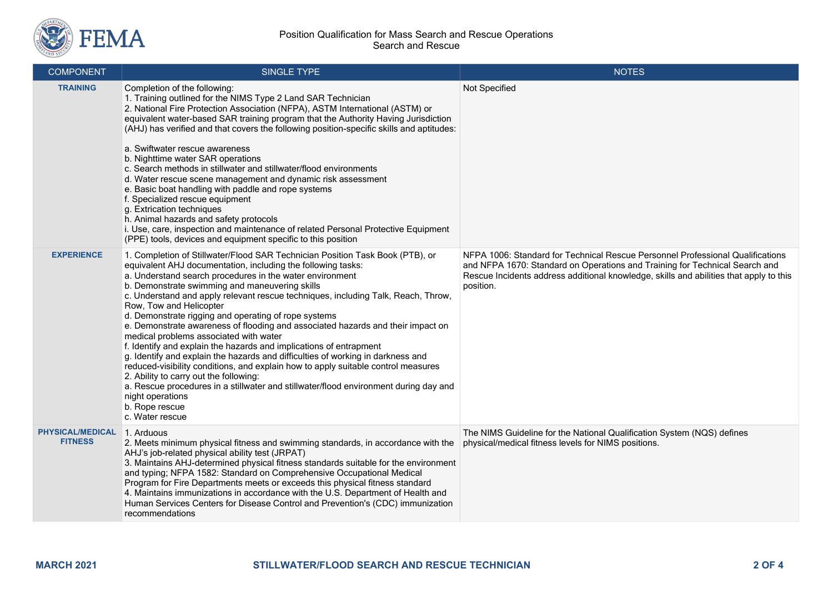

| <b>COMPONENT</b>                          | SINGLE TYPE                                                                                                                                                                                                                                                                                                                                                                                                                                                                                                                                                                                                                                                                                                                                                                                                                                                                                                                                                                                               | <b>NOTES</b>                                                                                                                                                                                                                                                         |
|-------------------------------------------|-----------------------------------------------------------------------------------------------------------------------------------------------------------------------------------------------------------------------------------------------------------------------------------------------------------------------------------------------------------------------------------------------------------------------------------------------------------------------------------------------------------------------------------------------------------------------------------------------------------------------------------------------------------------------------------------------------------------------------------------------------------------------------------------------------------------------------------------------------------------------------------------------------------------------------------------------------------------------------------------------------------|----------------------------------------------------------------------------------------------------------------------------------------------------------------------------------------------------------------------------------------------------------------------|
| <b>TRAINING</b>                           | Completion of the following:<br>1. Training outlined for the NIMS Type 2 Land SAR Technician<br>2. National Fire Protection Association (NFPA), ASTM International (ASTM) or<br>equivalent water-based SAR training program that the Authority Having Jurisdiction<br>(AHJ) has verified and that covers the following position-specific skills and aptitudes:<br>a. Swiftwater rescue awareness<br>b. Nighttime water SAR operations<br>c. Search methods in stillwater and stillwater/flood environments<br>d. Water rescue scene management and dynamic risk assessment<br>e. Basic boat handling with paddle and rope systems<br>f. Specialized rescue equipment<br>g. Extrication techniques<br>h. Animal hazards and safety protocols<br>i. Use, care, inspection and maintenance of related Personal Protective Equipment<br>(PPE) tools, devices and equipment specific to this position                                                                                                          | Not Specified                                                                                                                                                                                                                                                        |
| <b>EXPERIENCE</b>                         | 1. Completion of Stillwater/Flood SAR Technician Position Task Book (PTB), or<br>equivalent AHJ documentation, including the following tasks:<br>a. Understand search procedures in the water environment<br>b. Demonstrate swimming and maneuvering skills<br>c. Understand and apply relevant rescue techniques, including Talk, Reach, Throw,<br>Row, Tow and Helicopter<br>d. Demonstrate rigging and operating of rope systems<br>e. Demonstrate awareness of flooding and associated hazards and their impact on<br>medical problems associated with water<br>f. Identify and explain the hazards and implications of entrapment<br>g. Identify and explain the hazards and difficulties of working in darkness and<br>reduced-visibility conditions, and explain how to apply suitable control measures<br>2. Ability to carry out the following:<br>a. Rescue procedures in a stillwater and stillwater/flood environment during day and<br>night operations<br>b. Rope rescue<br>c. Water rescue | NFPA 1006: Standard for Technical Rescue Personnel Professional Qualifications<br>and NFPA 1670: Standard on Operations and Training for Technical Search and<br>Rescue Incidents address additional knowledge, skills and abilities that apply to this<br>position. |
| <b>PHYSICAL/MEDICAL</b><br><b>FITNESS</b> | 1. Arduous<br>2. Meets minimum physical fitness and swimming standards, in accordance with the<br>AHJ's job-related physical ability test (JRPAT)<br>3. Maintains AHJ-determined physical fitness standards suitable for the environment<br>and typing; NFPA 1582: Standard on Comprehensive Occupational Medical<br>Program for Fire Departments meets or exceeds this physical fitness standard<br>4. Maintains immunizations in accordance with the U.S. Department of Health and<br>Human Services Centers for Disease Control and Prevention's (CDC) immunization<br>recommendations                                                                                                                                                                                                                                                                                                                                                                                                                 | The NIMS Guideline for the National Qualification System (NQS) defines<br>physical/medical fitness levels for NIMS positions.                                                                                                                                        |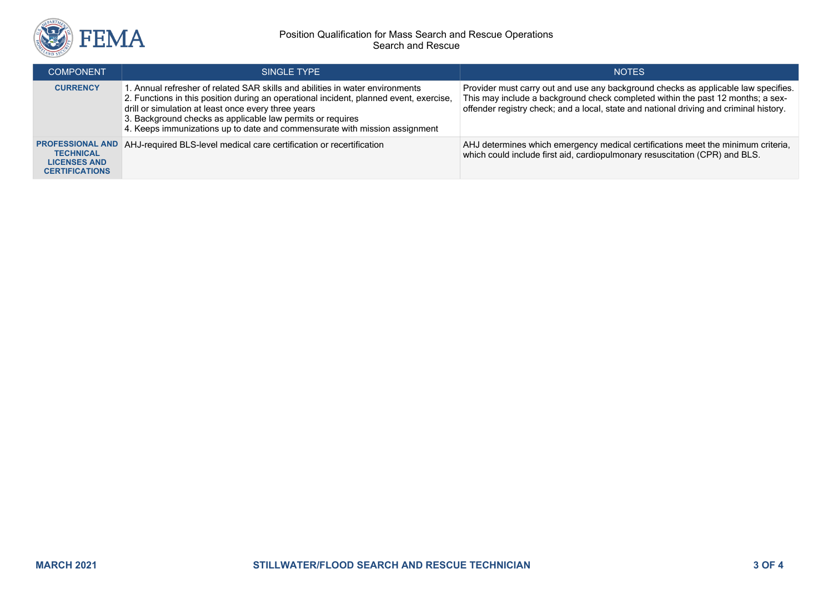

## Position Qualification for Mass Search and Rescue Operations Search and Rescue

| <b>COMPONENT</b>                                                                            | SINGLE TYPE                                                                                                                                                                                                                                                                                                                                                                | <b>NOTES</b>                                                                                                                                                                                                                                                    |
|---------------------------------------------------------------------------------------------|----------------------------------------------------------------------------------------------------------------------------------------------------------------------------------------------------------------------------------------------------------------------------------------------------------------------------------------------------------------------------|-----------------------------------------------------------------------------------------------------------------------------------------------------------------------------------------------------------------------------------------------------------------|
| <b>CURRENCY</b>                                                                             | L. Annual refresher of related SAR skills and abilities in water environments<br>2. Functions in this position during an operational incident, planned event, exercise,<br>drill or simulation at least once every three years<br>3. Background checks as applicable law permits or requires<br>4. Keeps immunizations up to date and commensurate with mission assignment | Provider must carry out and use any background checks as applicable law specifies.<br>This may include a background check completed within the past 12 months; a sex-<br>offender registry check; and a local, state and national driving and criminal history. |
| <b>PROFESSIONAL AND</b><br><b>TECHNICAL</b><br><b>LICENSES AND</b><br><b>CERTIFICATIONS</b> | AHJ-required BLS-level medical care certification or recertification                                                                                                                                                                                                                                                                                                       | AHJ determines which emergency medical certifications meet the minimum criteria,<br>which could include first aid, cardiopulmonary resuscitation (CPR) and BLS.                                                                                                 |